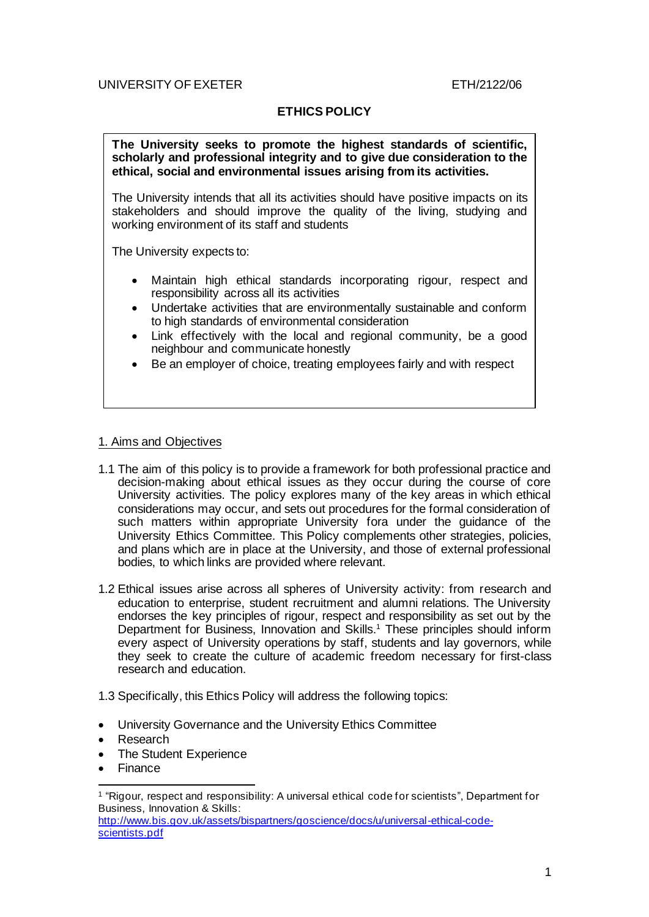# UNIVERSITY OF EXETER ETH/2122/06

# **ETHICS POLICY**

**The University seeks to promote the highest standards of scientific, scholarly and professional integrity and to give due consideration to the ethical, social and environmental issues arising from its activities.**

The University intends that all its activities should have positive impacts on its stakeholders and should improve the quality of the living, studying and working environment of its staff and students

The University expects to:

- Maintain high ethical standards incorporating rigour, respect and responsibility across all its activities
- Undertake activities that are environmentally sustainable and conform to high standards of environmental consideration
- Link effectively with the local and regional community, be a good neighbour and communicate honestly
- Be an employer of choice, treating employees fairly and with respect

#### 1. Aims and Objectives

- 1.1 The aim of this policy is to provide a framework for both professional practice and decision-making about ethical issues as they occur during the course of core University activities. The policy explores many of the key areas in which ethical considerations may occur, and sets out procedures for the formal consideration of such matters within appropriate University fora under the guidance of the University Ethics Committee. This Policy complements other strategies, policies, and plans which are in place at the University, and those of external professional bodies, to which links are provided where relevant.
- 1.2 Ethical issues arise across all spheres of University activity: from research and education to enterprise, student recruitment and alumni relations. The University endorses the key principles of rigour, respect and responsibility as set out by the Department for Business, Innovation and Skills. <sup>1</sup> These principles should inform every aspect of University operations by staff, students and lay governors, while they seek to create the culture of academic freedom necessary for first-class research and education.
- 1.3 Specifically, this Ethics Policy will address the following topics:
- University Governance and the University Ethics Committee
- Research
- The Student Experience
- **Finance**

<sup>1</sup> "Rigour, respect and responsibility: A universal ethical code for scientists", Department for Business, Innovation & Skills:

http://www.bis.gov.uk/assets/bispartners/goscience/docs/u/universal-ethical-codescientists.pdf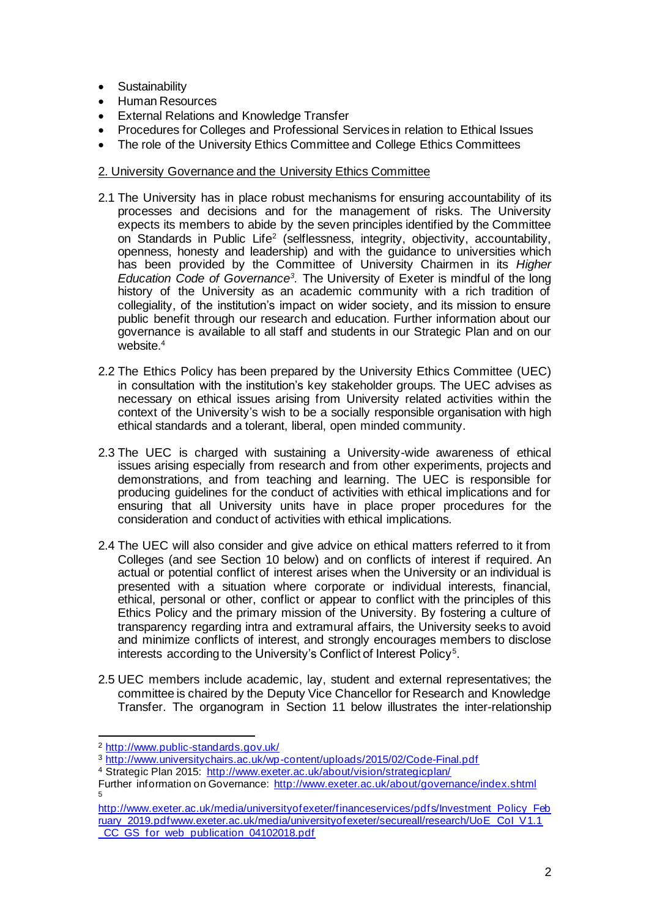- Sustainability
- Human Resources
- **External Relations and Knowledge Transfer**
- Procedures for Colleges and Professional Services in relation to Ethical Issues
- The role of the University Ethics Committee and College Ethics Committees

#### 2. University Governance and the University Ethics Committee

- 2.1 The University has in place robust mechanisms for ensuring accountability of its processes and decisions and for the management of risks. The University expects its members to abide by the seven principles identified by the Committee on Standards in Public Life<sup>2</sup> (selflessness, integrity, objectivity, accountability, openness, honesty and leadership) and with the guidance to universities which has been provided by the Committee of University Chairmen in its *Higher Education Code of Governance<sup>3</sup> .* The University of Exeter is mindful of the long history of the University as an academic community with a rich tradition of collegiality, of the institution's impact on wider society, and its mission to ensure public benefit through our research and education. Further information about our governance is available to all staff and students in our Strategic Plan and on our website.<sup>4</sup>
- 2.2 The Ethics Policy has been prepared by the University Ethics Committee (UEC) in consultation with the institution's key stakeholder groups. The UEC advises as necessary on ethical issues arising from University related activities within the context of the University's wish to be a socially responsible organisation with high ethical standards and a tolerant, liberal, open minded community.
- 2.3 The UEC is charged with sustaining a University-wide awareness of ethical issues arising especially from research and from other experiments, projects and demonstrations, and from teaching and learning. The UEC is responsible for producing guidelines for the conduct of activities with ethical implications and for ensuring that all University units have in place proper procedures for the consideration and conduct of activities with ethical implications.
- 2.4 The UEC will also consider and give advice on ethical matters referred to it from Colleges (and see Section 10 below) and on conflicts of interest if required. An actual or potential conflict of interest arises when the University or an individual is presented with a situation where corporate or individual interests, financial, ethical, personal or other, conflict or appear to conflict with the principles of this Ethics Policy and the primary mission of the University. By fostering a culture of transparency regarding intra and extramural affairs, the University seeks to avoid and minimize conflicts of interest, and strongly encourages members to disclose interests according to the University's Conflict of Interest Policy<sup>5</sup>.
- 2.5 UEC members include academic, lay, student and external representatives; the committee is chaired by the Deputy Vice Chancellor for Research and Knowledge Transfer. The organogram in Section 11 below illustrates the inter-relationship

<sup>2</sup> http://www.public-standards.gov.uk/

<sup>3</sup> http://www.universitychairs.ac.uk/wp-content/uploads/2015/02/Code-Final.pdf

<sup>4</sup> Strategic Plan 2015: http://www.exeter.ac.uk/about/vision/strategicplan/

Further information on Governance: http://www.exeter.ac.uk/about/governance/index.shtml 5

http://www.exeter.ac.uk/media/universityofexeter/financeservices/pdfs/Investment\_Policy\_Feb ruary\_2019.pdfwww.exeter.ac.uk/media/universityofexeter/secureall/research/UoE\_CoI\_V1.1 CC\_GS\_for\_web\_publication\_04102018.pdf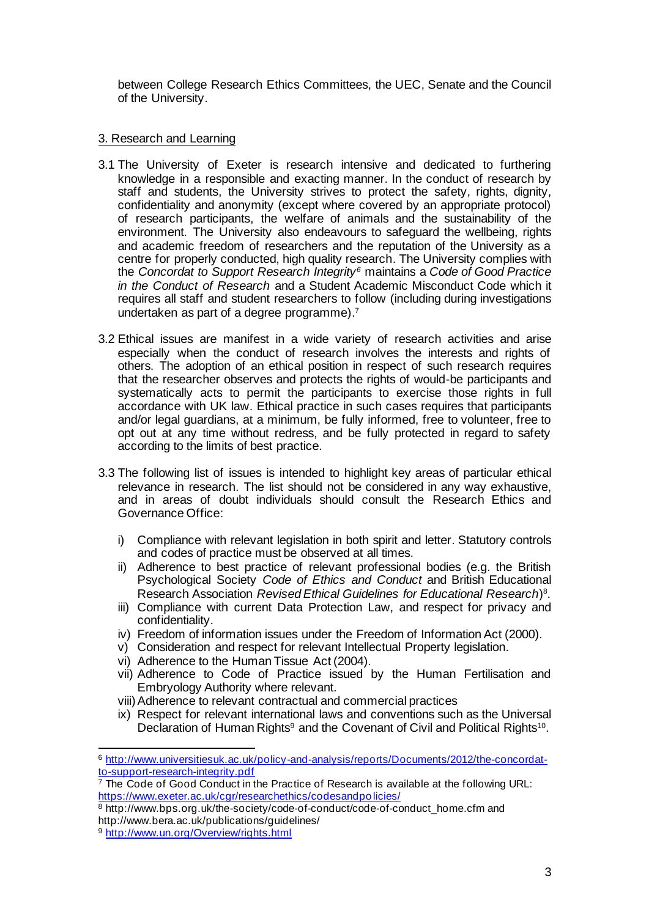between College Research Ethics Committees, the UEC, Senate and the Council of the University.

# 3. Research and Learning

- 3.1 The University of Exeter is research intensive and dedicated to furthering knowledge in a responsible and exacting manner. In the conduct of research by staff and students, the University strives to protect the safety, rights, dignity, confidentiality and anonymity (except where covered by an appropriate protocol) of research participants, the welfare of animals and the sustainability of the environment. The University also endeavours to safeguard the wellbeing, rights and academic freedom of researchers and the reputation of the University as a centre for properly conducted, high quality research. The University complies with the *Concordat to Support Research Integrity<sup>6</sup>* maintains a *Code of Good Practice in the Conduct of Research* and a Student Academic Misconduct Code which it requires all staff and student researchers to follow (including during investigations undertaken as part of a degree programme). 7
- 3.2 Ethical issues are manifest in a wide variety of research activities and arise especially when the conduct of research involves the interests and rights of others. The adoption of an ethical position in respect of such research requires that the researcher observes and protects the rights of would-be participants and systematically acts to permit the participants to exercise those rights in full accordance with UK law. Ethical practice in such cases requires that participants and/or legal guardians, at a minimum, be fully informed, free to volunteer, free to opt out at any time without redress, and be fully protected in regard to safety according to the limits of best practice.
- 3.3 The following list of issues is intended to highlight key areas of particular ethical relevance in research. The list should not be considered in any way exhaustive, and in areas of doubt individuals should consult the Research Ethics and Governance Office:
	- i) Compliance with relevant legislation in both spirit and letter. Statutory controls and codes of practice must be observed at all times.
	- ii) Adherence to best practice of relevant professional bodies (e.g. the British Psychological Society *Code of Ethics and Conduct* and British Educational Research Association *Revised Ethical Guidelines for Educational Research*) 8 .
	- iii) Compliance with current Data Protection Law, and respect for privacy and confidentiality.
	- iv) Freedom of information issues under the Freedom of Information Act (2000).
	- v) Consideration and respect for relevant Intellectual Property legislation.
	- vi) Adherence to the Human Tissue Act (2004).
	- vii) Adherence to Code of Practice issued by the Human Fertilisation and Embryology Authority where relevant.
	- viii)Adherence to relevant contractual and commercial practices
	- ix) Respect for relevant international laws and conventions such as the Universal Declaration of Human Rights<sup>9</sup> and the Covenant of Civil and Political Rights<sup>10</sup>.

<sup>6</sup> http://www.universitiesuk.ac.uk/policy-and-analysis/reports/Documents/2012/the-concordatto-support-research-integrity.pdf

 $7$  The Code of Good Conduct in the Practice of Research is available at the following URL: https://www.exeter.ac.uk/cgr/researchethics/codesandpolicies/

<sup>&</sup>lt;sup>8</sup> http://www.bps.org.uk/the-society/code-of-conduct/code-of-conduct\_home.cfm and http://www.bera.ac.uk/publications/guidelines/

<sup>9</sup> http://www.un.org/Overview/rights.html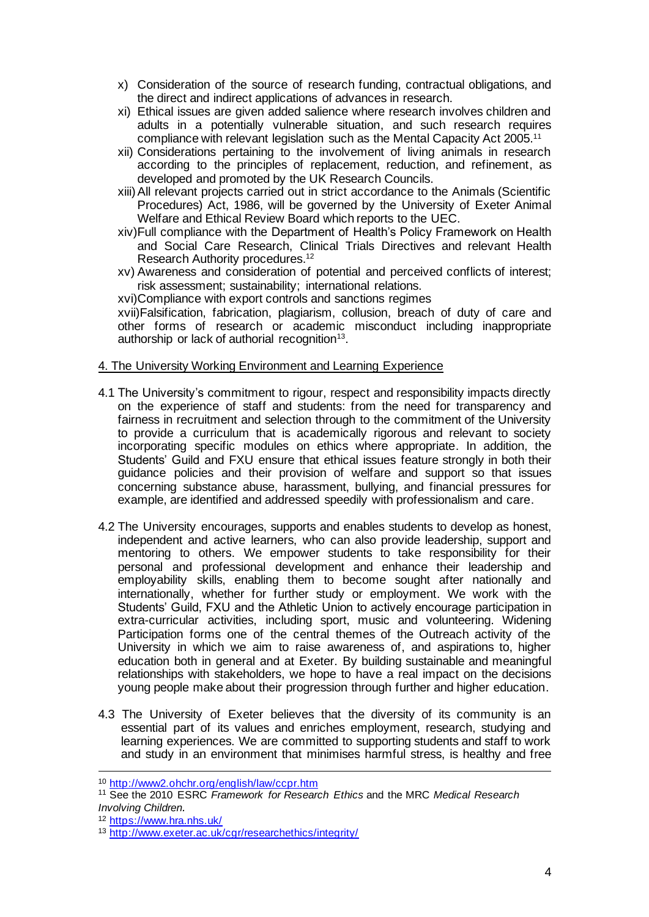- x) Consideration of the source of research funding, contractual obligations, and the direct and indirect applications of advances in research.
- xi) Ethical issues are given added salience where research involves children and adults in a potentially vulnerable situation, and such research requires compliance with relevant legislation such as the Mental Capacity Act 2005.<sup>11</sup>
- xii) Considerations pertaining to the involvement of living animals in research according to the principles of replacement, reduction, and refinement, as developed and promoted by the UK Research Councils.
- xiii)All relevant projects carried out in strict accordance to the Animals (Scientific Procedures) Act, 1986, will be governed by the University of Exeter Animal Welfare and Ethical Review Board which reports to the UEC.
- xiv)Full compliance with the Department of Health's Policy Framework on Health and Social Care Research, Clinical Trials Directives and relevant Health Research Authority procedures. 12
- xv) Awareness and consideration of potential and perceived conflicts of interest; risk assessment; sustainability; international relations.

xvi)Compliance with export controls and sanctions regimes

xvii)Falsification, fabrication, plagiarism, collusion, breach of duty of care and other forms of research or academic misconduct including inappropriate authorship or lack of authorial recognition<sup>13</sup>.

#### 4. The University Working Environment and Learning Experience

- 4.1 The University's commitment to rigour, respect and responsibility impacts directly on the experience of staff and students: from the need for transparency and fairness in recruitment and selection through to the commitment of the University to provide a curriculum that is academically rigorous and relevant to society incorporating specific modules on ethics where appropriate. In addition, the Students' Guild and FXU ensure that ethical issues feature strongly in both their guidance policies and their provision of welfare and support so that issues concerning substance abuse, harassment, bullying, and financial pressures for example, are identified and addressed speedily with professionalism and care.
- 4.2 The University encourages, supports and enables students to develop as honest, independent and active learners, who can also provide leadership, support and mentoring to others. We empower students to take responsibility for their personal and professional development and enhance their leadership and employability skills, enabling them to become sought after nationally and internationally, whether for further study or employment. We work with the Students' Guild, FXU and the Athletic Union to actively encourage participation in extra-curricular activities, including sport, music and volunteering. Widening Participation forms one of the central themes of the Outreach activity of the University in which we aim to raise awareness of, and aspirations to, higher education both in general and at Exeter. By building sustainable and meaningful relationships with stakeholders, we hope to have a real impact on the decisions young people make about their progression through further and higher education.
- 4.3 The University of Exeter believes that the diversity of its community is an essential part of its values and enriches employment, research, studying and learning experiences. We are committed to supporting students and staff to work and study in an environment that minimises harmful stress, is healthy and free

<sup>10</sup> http://www2.ohchr.org/english/law/ccpr.htm

<sup>11</sup> See the 2010 ESRC *Framework for Research Ethics* and the MRC *Medical Research Involving Children.* 

<sup>12</sup> https://www.hra.nhs.uk/

<sup>13</sup> http://www.exeter.ac.uk/cgr/researchethics/integrity/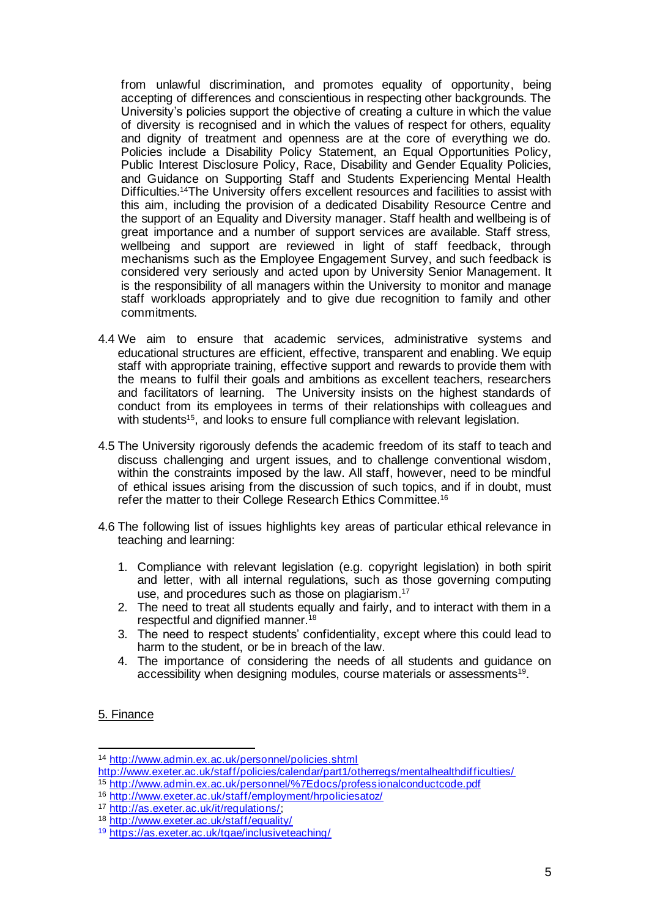from unlawful discrimination, and promotes equality of opportunity, being accepting of differences and conscientious in respecting other backgrounds. The University's policies support the objective of creating a culture in which the value of diversity is recognised and in which the values of respect for others, equality and dignity of treatment and openness are at the core of everything we do. Policies include a Disability Policy Statement, an Equal Opportunities Policy, Public Interest Disclosure Policy, Race, Disability and Gender Equality Policies, and Guidance on Supporting Staff and Students Experiencing Mental Health Difficulties. <sup>14</sup>The University offers excellent resources and facilities to assist with this aim, including the provision of a dedicated Disability Resource Centre and the support of an Equality and Diversity manager. Staff health and wellbeing is of great importance and a number of support services are available. Staff stress, wellbeing and support are reviewed in light of staff feedback, through mechanisms such as the Employee Engagement Survey, and such feedback is considered very seriously and acted upon by University Senior Management. It is the responsibility of all managers within the University to monitor and manage staff workloads appropriately and to give due recognition to family and other commitments.

- 4.4 We aim to ensure that academic services, administrative systems and educational structures are efficient, effective, transparent and enabling. We equip staff with appropriate training, effective support and rewards to provide them with the means to fulfil their goals and ambitions as excellent teachers, researchers and facilitators of learning. The University insists on the highest standards of conduct from its employees in terms of their relationships with colleagues and with students<sup>15</sup>, and looks to ensure full compliance with relevant legislation.
- 4.5 The University rigorously defends the academic freedom of its staff to teach and discuss challenging and urgent issues, and to challenge conventional wisdom, within the constraints imposed by the law. All staff, however, need to be mindful of ethical issues arising from the discussion of such topics, and if in doubt, must refer the matter to their College Research Ethics Committee.<sup>16</sup>
- 4.6 The following list of issues highlights key areas of particular ethical relevance in teaching and learning:
	- 1. Compliance with relevant legislation (e.g. copyright legislation) in both spirit and letter, with all internal regulations, such as those governing computing use, and procedures such as those on plagiarism.<sup>17</sup>
	- 2. The need to treat all students equally and fairly, and to interact with them in a respectful and dignified manner.<sup>18</sup>
	- 3. The need to respect students' confidentiality, except where this could lead to harm to the student, or be in breach of the law.
	- 4. The importance of considering the needs of all students and guidance on accessibility when designing modules, course materials or assessments<sup>19</sup>.

## 5. Finance

<sup>15</sup> http://www.admin.ex.ac.uk/personnel/%7Edocs/professionalconductcode.pdf

<sup>14</sup> http://www.admin.ex.ac.uk/personnel/policies.shtml

http://www.exeter.ac.uk/staff/policies/calendar/part1/otherregs/mentalhealthdifficulties/

<sup>16</sup> http://www.exeter.ac.uk/staff/employment/hrpoliciesatoz/

<sup>17</sup> http://as.exeter.ac.uk/it/regulations/;

<sup>18</sup> http://www.exeter.ac.uk/staff/equality/

<sup>19</sup> https://as.exeter.ac.uk/tqae/inclusiveteaching/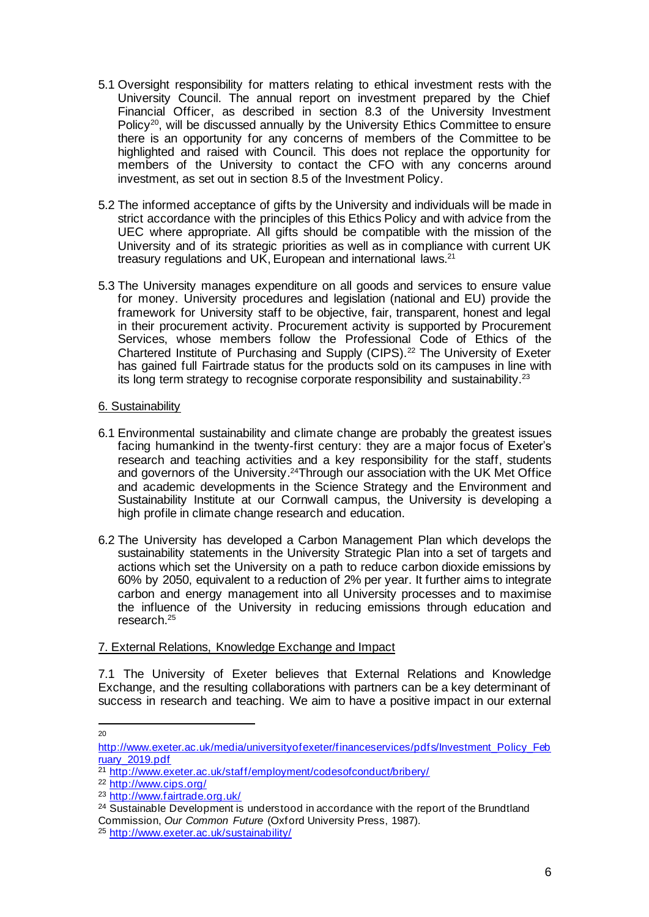- 5.1 Oversight responsibility for matters relating to ethical investment rests with the University Council. The annual report on investment prepared by the Chief Financial Officer, as described in section 8.3 of the University Investment Policy<sup>20</sup>, will be discussed annually by the University Ethics Committee to ensure there is an opportunity for any concerns of members of the Committee to be highlighted and raised with Council. This does not replace the opportunity for members of the University to contact the CFO with any concerns around investment, as set out in section 8.5 of the Investment Policy.
- 5.2 The informed acceptance of gifts by the University and individuals will be made in strict accordance with the principles of this Ethics Policy and with advice from the UEC where appropriate. All gifts should be compatible with the mission of the University and of its strategic priorities as well as in compliance with current UK treasury regulations and UK, European and international laws.<sup>21</sup>
- 5.3 The University manages expenditure on all goods and services to ensure value for money. University procedures and legislation (national and EU) provide the framework for University staff to be objective, fair, transparent, honest and legal in their procurement activity. Procurement activity is supported by Procurement Services, whose members follow the Professional Code of Ethics of the Chartered Institute of Purchasing and Supply (CIPS).<sup>22</sup> The University of Exeter has gained full Fairtrade status for the products sold on its campuses in line with its long term strategy to recognise corporate responsibility and sustainability.<sup>23</sup>

## 6. Sustainability

- 6.1 Environmental sustainability and climate change are probably the greatest issues facing humankind in the twenty-first century: they are a major focus of Exeter's research and teaching activities and a key responsibility for the staff, students and governors of the University. <sup>24</sup>Through our association with the UK Met Office and academic developments in the Science Strategy and the Environment and Sustainability Institute at our Cornwall campus, the University is developing a high profile in climate change research and education.
- 6.2 The University has developed a Carbon Management Plan which develops the sustainability statements in the University Strategic Plan into a set of targets and actions which set the University on a path to reduce carbon dioxide emissions by 60% by 2050, equivalent to a reduction of 2% per year. It further aims to integrate carbon and energy management into all University processes and to maximise the influence of the University in reducing emissions through education and research.<sup>25</sup>

## 7. External Relations, Knowledge Exchange and Impact

7.1 The University of Exeter believes that External Relations and Knowledge Exchange, and the resulting collaborations with partners can be a key determinant of success in research and teaching. We aim to have a positive impact in our external

<sup>20</sup>

http://www.exeter.ac.uk/media/universityofexeter/financeservices/pdfs/Investment\_Policy\_Feb ruary 2019.pdf

<sup>&</sup>lt;sup>21</sup> http://www.exeter.ac.uk/staff/employment/codesofconduct/bribery/

<sup>22</sup> http://www.cips.org/

<sup>23</sup> http://www.fairtrade.org.uk/

 $24$  Sustainable Development is understood in accordance with the report of the Brundtland Commission, *Our Common Future* (Oxford University Press, 1987).

<sup>25</sup> http://www.exeter.ac.uk/sustainability/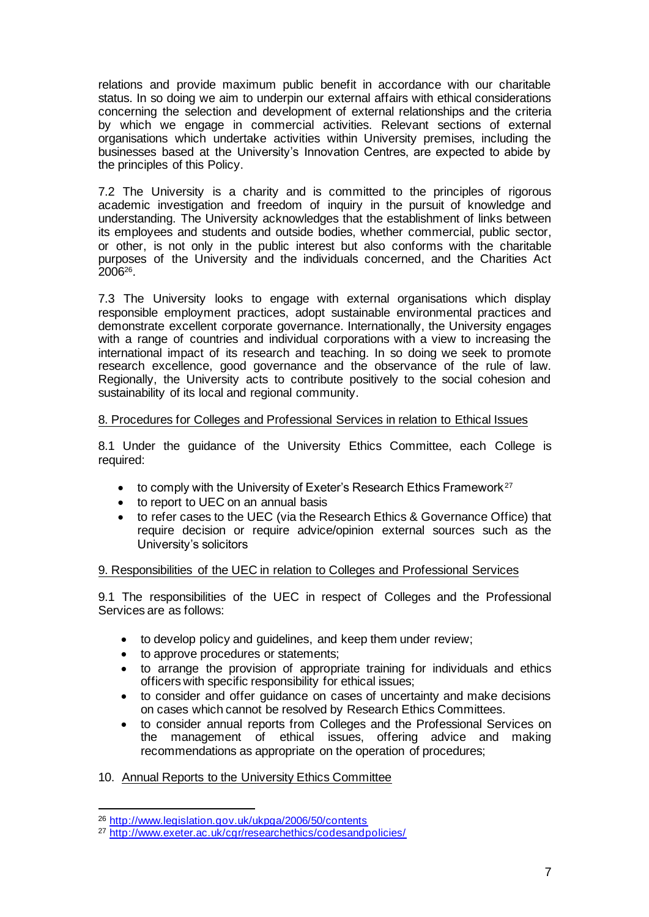relations and provide maximum public benefit in accordance with our charitable status. In so doing we aim to underpin our external affairs with ethical considerations concerning the selection and development of external relationships and the criteria by which we engage in commercial activities. Relevant sections of external organisations which undertake activities within University premises, including the businesses based at the University's Innovation Centres, are expected to abide by the principles of this Policy.

7.2 The University is a charity and is committed to the principles of rigorous academic investigation and freedom of inquiry in the pursuit of knowledge and understanding. The University acknowledges that the establishment of links between its employees and students and outside bodies, whether commercial, public sector, or other, is not only in the public interest but also conforms with the charitable purposes of the University and the individuals concerned, and the Charities Act 2006<sup>26</sup> .

7.3 The University looks to engage with external organisations which display responsible employment practices, adopt sustainable environmental practices and demonstrate excellent corporate governance. Internationally, the University engages with a range of countries and individual corporations with a view to increasing the international impact of its research and teaching. In so doing we seek to promote research excellence, good governance and the observance of the rule of law. Regionally, the University acts to contribute positively to the social cohesion and sustainability of its local and regional community.

## 8. Procedures for Colleges and Professional Services in relation to Ethical Issues

8.1 Under the guidance of the University Ethics Committee, each College is required:

- to comply with the University of Exeter's Research Ethics Framework<sup>27</sup>
- to report to UEC on an annual basis
- to refer cases to the UEC (via the Research Ethics & Governance Office) that require decision or require advice/opinion external sources such as the University's solicitors

## 9. Responsibilities of the UEC in relation to Colleges and Professional Services

9.1 The responsibilities of the UEC in respect of Colleges and the Professional Services are as follows:

- to develop policy and guidelines, and keep them under review;
- to approve procedures or statements;
- to arrange the provision of appropriate training for individuals and ethics officers with specific responsibility for ethical issues;
- to consider and offer guidance on cases of uncertainty and make decisions on cases which cannot be resolved by Research Ethics Committees.
- to consider annual reports from Colleges and the Professional Services on the management of ethical issues, offering advice and making recommendations as appropriate on the operation of procedures;

## 10. Annual Reports to the University Ethics Committee

<sup>26</sup> http://www.legislation.gov.uk/ukpga/2006/50/contents

<sup>27</sup> http://www.exeter.ac.uk/cgr/researchethics/codesandpolicies/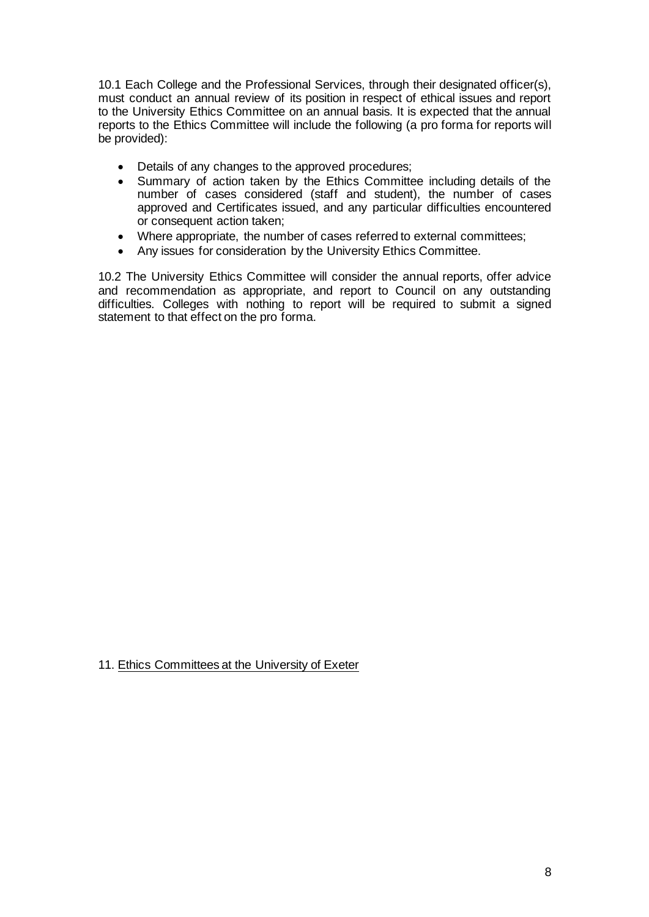10.1 Each College and the Professional Services, through their designated officer(s), must conduct an annual review of its position in respect of ethical issues and report to the University Ethics Committee on an annual basis. It is expected that the annual reports to the Ethics Committee will include the following (a pro forma for reports will be provided):

- Details of any changes to the approved procedures;
- Summary of action taken by the Ethics Committee including details of the number of cases considered (staff and student), the number of cases approved and Certificates issued, and any particular difficulties encountered or consequent action taken;
- Where appropriate, the number of cases referred to external committees;
- Any issues for consideration by the University Ethics Committee.

10.2 The University Ethics Committee will consider the annual reports, offer advice and recommendation as appropriate, and report to Council on any outstanding difficulties. Colleges with nothing to report will be required to submit a signed statement to that effect on the pro forma.

11. Ethics Committees at the University of Exeter